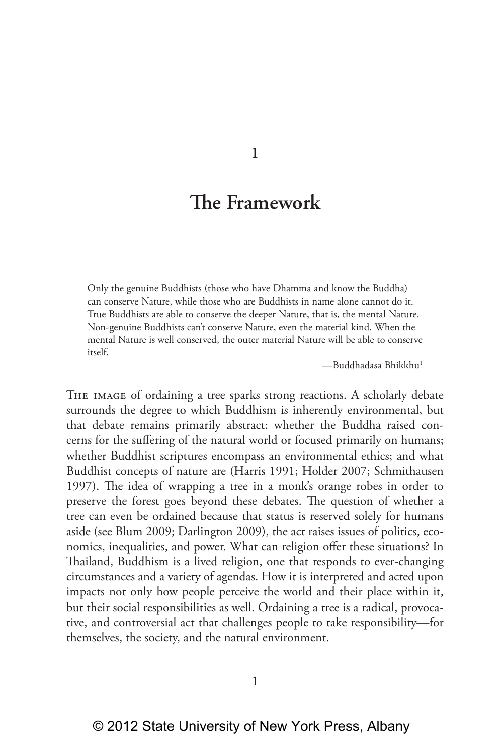**1**

# **The Framework**

Only the genuine Buddhists (those who have Dhamma and know the Buddha) can conserve Nature, while those who are Buddhists in name alone cannot do it. True Buddhists are able to conserve the deeper Nature, that is, the mental Nature. Non-genuine Buddhists can't conserve Nature, even the material kind. When the mental Nature is well conserved, the outer material Nature will be able to conserve itself.

—Buddhadasa Bhikkhu1

The image of ordaining a tree sparks strong reactions. A scholarly debate surrounds the degree to which Buddhism is inherently environmental, but that debate remains primarily abstract: whether the Buddha raised concerns for the suffering of the natural world or focused primarily on humans; whether Buddhist scriptures encompass an environmental ethics; and what Buddhist concepts of nature are (Harris 1991; Holder 2007; Schmithausen 1997). The idea of wrapping a tree in a monk's orange robes in order to preserve the forest goes beyond these debates. The question of whether a tree can even be ordained because that status is reserved solely for humans aside (see Blum 2009; Darlington 2009), the act raises issues of politics, economics, inequalities, and power. What can religion offer these situations? In Thailand, Buddhism is a lived religion, one that responds to ever-changing circumstances and a variety of agendas. How it is interpreted and acted upon impacts not only how people perceive the world and their place within it, but their social responsibilities as well. Ordaining a tree is a radical, provocative, and controversial act that challenges people to take responsibility—for themselves, the society, and the natural environment.

1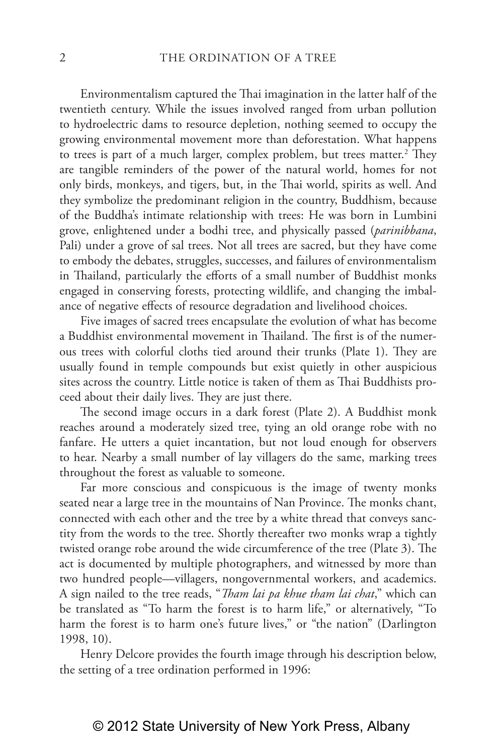Environmentalism captured the Thai imagination in the latter half of the twentieth century. While the issues involved ranged from urban pollution to hydroelectric dams to resource depletion, nothing seemed to occupy the growing environmental movement more than deforestation. What happens to trees is part of a much larger, complex problem, but trees matter.<sup>2</sup> They are tangible reminders of the power of the natural world, homes for not only birds, monkeys, and tigers, but, in the Thai world, spirits as well. And they symbolize the predominant religion in the country, Buddhism, because of the Buddha's intimate relationship with trees: He was born in Lumbini grove, enlightened under a bodhi tree, and physically passed (*parinibbana*, Pali) under a grove of sal trees. Not all trees are sacred, but they have come to embody the debates, struggles, successes, and failures of environmentalism in Thailand, particularly the efforts of a small number of Buddhist monks engaged in conserving forests, protecting wildlife, and changing the imbalance of negative effects of resource degradation and livelihood choices.

Five images of sacred trees encapsulate the evolution of what has become a Buddhist environmental movement in Thailand. The first is of the numerous trees with colorful cloths tied around their trunks (Plate 1). They are usually found in temple compounds but exist quietly in other auspicious sites across the country. Little notice is taken of them as Thai Buddhists proceed about their daily lives. They are just there.

The second image occurs in a dark forest (Plate 2). A Buddhist monk reaches around a moderately sized tree, tying an old orange robe with no fanfare. He utters a quiet incantation, but not loud enough for observers to hear. Nearby a small number of lay villagers do the same, marking trees throughout the forest as valuable to someone.

Far more conscious and conspicuous is the image of twenty monks seated near a large tree in the mountains of Nan Province. The monks chant, connected with each other and the tree by a white thread that conveys sanctity from the words to the tree. Shortly thereafter two monks wrap a tightly twisted orange robe around the wide circumference of the tree (Plate 3). The act is documented by multiple photographers, and witnessed by more than two hundred people—villagers, nongovernmental workers, and academics. A sign nailed to the tree reads, "*Tham lai pa khue tham lai chat*," which can be translated as "To harm the forest is to harm life," or alternatively, "To harm the forest is to harm one's future lives," or "the nation" (Darlington 1998, 10).

Henry Delcore provides the fourth image through his description below, the setting of a tree ordination performed in 1996: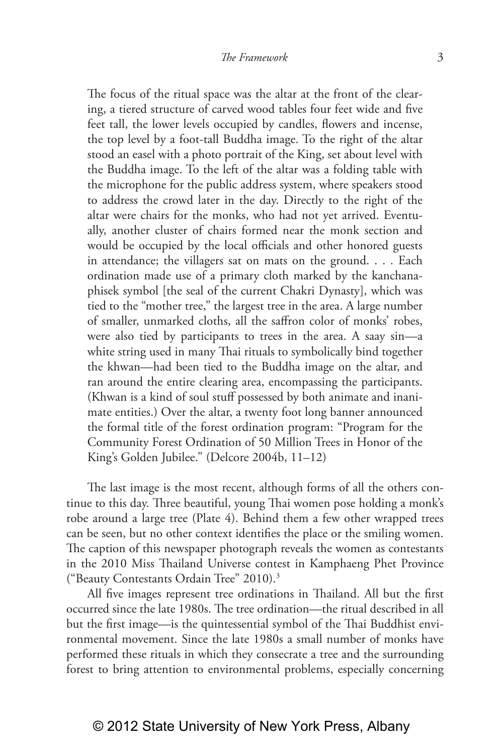The focus of the ritual space was the altar at the front of the clearing, a tiered structure of carved wood tables four feet wide and five feet tall, the lower levels occupied by candles, flowers and incense, the top level by a foot-tall Buddha image. To the right of the altar stood an easel with a photo portrait of the King, set about level with the Buddha image. To the left of the altar was a folding table with the microphone for the public address system, where speakers stood to address the crowd later in the day. Directly to the right of the altar were chairs for the monks, who had not yet arrived. Eventually, another cluster of chairs formed near the monk section and would be occupied by the local officials and other honored guests in attendance; the villagers sat on mats on the ground. . . . Each ordination made use of a primary cloth marked by the kanchanaphisek symbol [the seal of the current Chakri Dynasty], which was tied to the "mother tree," the largest tree in the area. A large number of smaller, unmarked cloths, all the saffron color of monks' robes, were also tied by participants to trees in the area. A saay sin—a white string used in many Thai rituals to symbolically bind together the khwan—had been tied to the Buddha image on the altar, and ran around the entire clearing area, encompassing the participants. (Khwan is a kind of soul stuff possessed by both animate and inanimate entities.) Over the altar, a twenty foot long banner announced the formal title of the forest ordination program: "Program for the Community Forest Ordination of 50 Million Trees in Honor of the King's Golden Jubilee." (Delcore 2004b, 11–12)

The last image is the most recent, although forms of all the others continue to this day. Three beautiful, young Thai women pose holding a monk's robe around a large tree (Plate 4). Behind them a few other wrapped trees can be seen, but no other context identifies the place or the smiling women. The caption of this newspaper photograph reveals the women as contestants in the 2010 Miss Thailand Universe contest in Kamphaeng Phet Province ("Beauty Contestants Ordain Tree" 2010).3

All five images represent tree ordinations in Thailand. All but the first occurred since the late 1980s. The tree ordination—the ritual described in all but the first image—is the quintessential symbol of the Thai Buddhist environmental movement. Since the late 1980s a small number of monks have performed these rituals in which they consecrate a tree and the surrounding forest to bring attention to environmental problems, especially concerning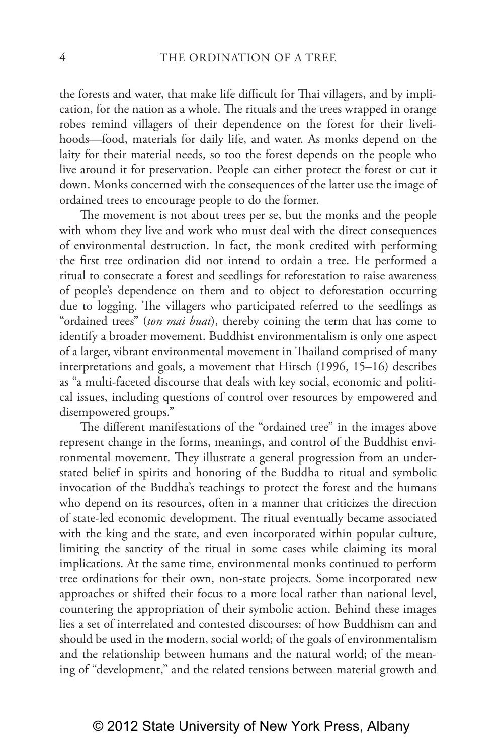the forests and water, that make life difficult for Thai villagers, and by implication, for the nation as a whole. The rituals and the trees wrapped in orange robes remind villagers of their dependence on the forest for their livelihoods—food, materials for daily life, and water. As monks depend on the laity for their material needs, so too the forest depends on the people who live around it for preservation. People can either protect the forest or cut it down. Monks concerned with the consequences of the latter use the image of ordained trees to encourage people to do the former.

The movement is not about trees per se, but the monks and the people with whom they live and work who must deal with the direct consequences of environmental destruction. In fact, the monk credited with performing the first tree ordination did not intend to ordain a tree. He performed a ritual to consecrate a forest and seedlings for reforestation to raise awareness of people's dependence on them and to object to deforestation occurring due to logging. The villagers who participated referred to the seedlings as "ordained trees" (*ton mai buat*), thereby coining the term that has come to identify a broader movement. Buddhist environmentalism is only one aspect of a larger, vibrant environmental movement in Thailand comprised of many interpretations and goals, a movement that Hirsch (1996, 15–16) describes as "a multi-faceted discourse that deals with key social, economic and political issues, including questions of control over resources by empowered and disempowered groups."

The different manifestations of the "ordained tree" in the images above represent change in the forms, meanings, and control of the Buddhist environmental movement. They illustrate a general progression from an understated belief in spirits and honoring of the Buddha to ritual and symbolic invocation of the Buddha's teachings to protect the forest and the humans who depend on its resources, often in a manner that criticizes the direction of state-led economic development. The ritual eventually became associated with the king and the state, and even incorporated within popular culture, limiting the sanctity of the ritual in some cases while claiming its moral implications. At the same time, environmental monks continued to perform tree ordinations for their own, non-state projects. Some incorporated new approaches or shifted their focus to a more local rather than national level, countering the appropriation of their symbolic action. Behind these images lies a set of interrelated and contested discourses: of how Buddhism can and should be used in the modern, social world; of the goals of environmentalism and the relationship between humans and the natural world; of the meaning of "development," and the related tensions between material growth and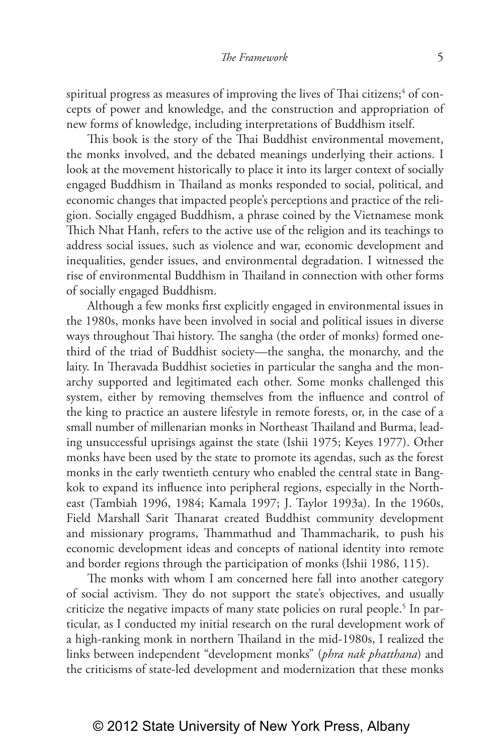#### *The Framework* 5

spiritual progress as measures of improving the lives of Thai citizens; $^4$  of concepts of power and knowledge, and the construction and appropriation of new forms of knowledge, including interpretations of Buddhism itself.

This book is the story of the Thai Buddhist environmental movement, the monks involved, and the debated meanings underlying their actions. I look at the movement historically to place it into its larger context of socially engaged Buddhism in Thailand as monks responded to social, political, and economic changes that impacted people's perceptions and practice of the religion. Socially engaged Buddhism, a phrase coined by the Vietnamese monk Thich Nhat Hanh, refers to the active use of the religion and its teachings to address social issues, such as violence and war, economic development and inequalities, gender issues, and environmental degradation. I witnessed the rise of environmental Buddhism in Thailand in connection with other forms of socially engaged Buddhism.

Although a few monks first explicitly engaged in environmental issues in the 1980s, monks have been involved in social and political issues in diverse ways throughout Thai history. The sangha (the order of monks) formed onethird of the triad of Buddhist society—the sangha, the monarchy, and the laity. In Theravada Buddhist societies in particular the sangha and the monarchy supported and legitimated each other. Some monks challenged this system, either by removing themselves from the influence and control of the king to practice an austere lifestyle in remote forests, or, in the case of a small number of millenarian monks in Northeast Thailand and Burma, leading unsuccessful uprisings against the state (Ishii 1975; Keyes 1977). Other monks have been used by the state to promote its agendas, such as the forest monks in the early twentieth century who enabled the central state in Bangkok to expand its influence into peripheral regions, especially in the Northeast (Tambiah 1996, 1984; Kamala 1997; J. Taylor 1993a). In the 1960s, Field Marshall Sarit Thanarat created Buddhist community development and missionary programs, Thammathud and Thammacharik, to push his economic development ideas and concepts of national identity into remote and border regions through the participation of monks (Ishii 1986, 115).

The monks with whom I am concerned here fall into another category of social activism. They do not support the state's objectives, and usually criticize the negative impacts of many state policies on rural people.<sup>5</sup> In particular, as I conducted my initial research on the rural development work of a high-ranking monk in northern Thailand in the mid-1980s, I realized the links between independent "development monks" (*phra nak phatthana*) and the criticisms of state-led development and modernization that these monks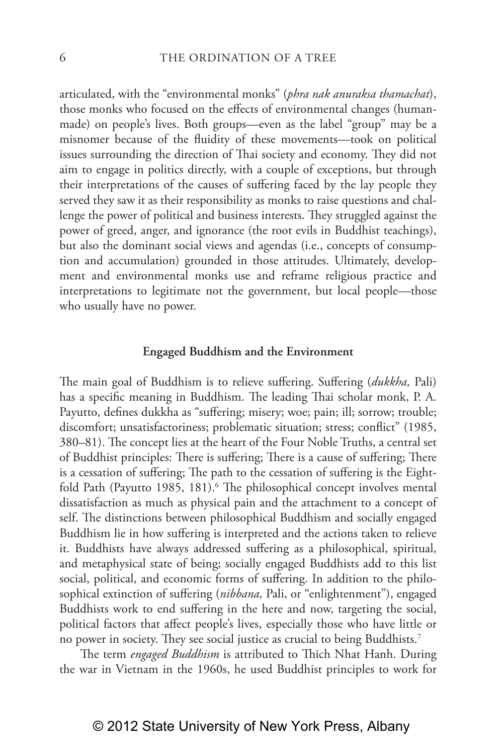articulated, with the "environmental monks" (*phra nak anuraksa thamachat*), those monks who focused on the effects of environmental changes (humanmade) on people's lives. Both groups—even as the label "group" may be a misnomer because of the fluidity of these movements—took on political issues surrounding the direction of Thai society and economy. They did not aim to engage in politics directly, with a couple of exceptions, but through their interpretations of the causes of suffering faced by the lay people they served they saw it as their responsibility as monks to raise questions and challenge the power of political and business interests. They struggled against the power of greed, anger, and ignorance (the root evils in Buddhist teachings), but also the dominant social views and agendas (i.e., concepts of consumption and accumulation) grounded in those attitudes. Ultimately, development and environmental monks use and reframe religious practice and interpretations to legitimate not the government, but local people—those who usually have no power.

#### **Engaged Buddhism and the Environment**

The main goal of Buddhism is to relieve suffering. Suffering (*dukkha,* Pali) has a specific meaning in Buddhism. The leading Thai scholar monk, P. A. Payutto, defines dukkha as "suffering; misery; woe; pain; ill; sorrow; trouble; discomfort; unsatisfactoriness; problematic situation; stress; conflict" (1985, 380–81). The concept lies at the heart of the Four Noble Truths, a central set of Buddhist principles: There is suffering; There is a cause of suffering; There is a cessation of suffering; The path to the cessation of suffering is the Eightfold Path (Payutto 1985, 181).<sup>6</sup> The philosophical concept involves mental dissatisfaction as much as physical pain and the attachment to a concept of self. The distinctions between philosophical Buddhism and socially engaged Buddhism lie in how suffering is interpreted and the actions taken to relieve it. Buddhists have always addressed suffering as a philosophical, spiritual, and metaphysical state of being; socially engaged Buddhists add to this list social, political, and economic forms of suffering. In addition to the philosophical extinction of suffering (*nibbana,* Pali, or "enlightenment"), engaged Buddhists work to end suffering in the here and now, targeting the social, political factors that affect people's lives, especially those who have little or no power in society. They see social justice as crucial to being Buddhists.7

The term *engaged Buddhism* is attributed to Thich Nhat Hanh. During the war in Vietnam in the 1960s, he used Buddhist principles to work for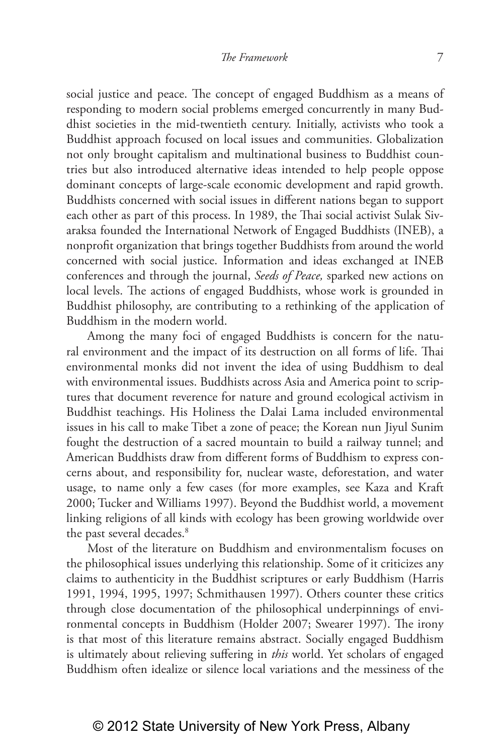social justice and peace. The concept of engaged Buddhism as a means of responding to modern social problems emerged concurrently in many Buddhist societies in the mid-twentieth century. Initially, activists who took a Buddhist approach focused on local issues and communities. Globalization not only brought capitalism and multinational business to Buddhist countries but also introduced alternative ideas intended to help people oppose dominant concepts of large-scale economic development and rapid growth. Buddhists concerned with social issues in different nations began to support each other as part of this process. In 1989, the Thai social activist Sulak Sivaraksa founded the International Network of Engaged Buddhists (INEB), a nonprofit organization that brings together Buddhists from around the world concerned with social justice. Information and ideas exchanged at INEB conferences and through the journal, *Seeds of Peace,* sparked new actions on local levels. The actions of engaged Buddhists, whose work is grounded in Buddhist philosophy, are contributing to a rethinking of the application of Buddhism in the modern world.

Among the many foci of engaged Buddhists is concern for the natural environment and the impact of its destruction on all forms of life. Thai environmental monks did not invent the idea of using Buddhism to deal with environmental issues. Buddhists across Asia and America point to scriptures that document reverence for nature and ground ecological activism in Buddhist teachings. His Holiness the Dalai Lama included environmental issues in his call to make Tibet a zone of peace; the Korean nun Jiyul Sunim fought the destruction of a sacred mountain to build a railway tunnel; and American Buddhists draw from different forms of Buddhism to express concerns about, and responsibility for, nuclear waste, deforestation, and water usage, to name only a few cases (for more examples, see Kaza and Kraft 2000; Tucker and Williams 1997). Beyond the Buddhist world, a movement linking religions of all kinds with ecology has been growing worldwide over the past several decades.<sup>8</sup>

Most of the literature on Buddhism and environmentalism focuses on the philosophical issues underlying this relationship. Some of it criticizes any claims to authenticity in the Buddhist scriptures or early Buddhism (Harris 1991, 1994, 1995, 1997; Schmithausen 1997). Others counter these critics through close documentation of the philosophical underpinnings of environmental concepts in Buddhism (Holder 2007; Swearer 1997). The irony is that most of this literature remains abstract. Socially engaged Buddhism is ultimately about relieving suffering in *this* world. Yet scholars of engaged Buddhism often idealize or silence local variations and the messiness of the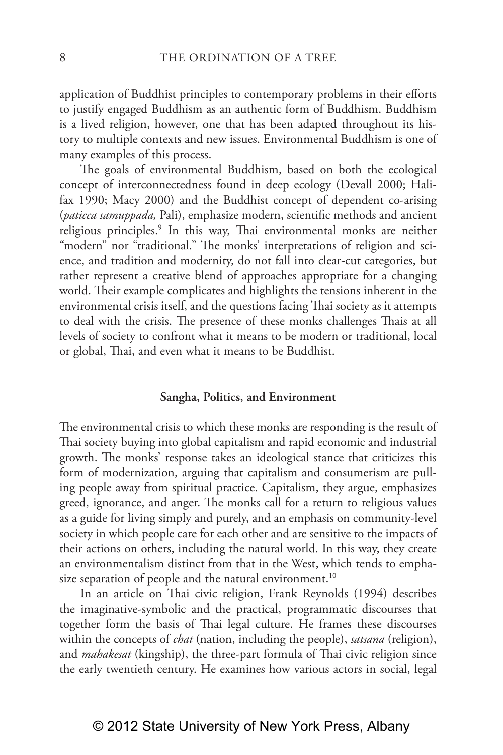application of Buddhist principles to contemporary problems in their efforts to justify engaged Buddhism as an authentic form of Buddhism. Buddhism is a lived religion, however, one that has been adapted throughout its history to multiple contexts and new issues. Environmental Buddhism is one of many examples of this process.

The goals of environmental Buddhism, based on both the ecological concept of interconnectedness found in deep ecology (Devall 2000; Halifax 1990; Macy 2000) and the Buddhist concept of dependent co-arising (*paticca samuppada,* Pali), emphasize modern, scientific methods and ancient religious principles.<sup>9</sup> In this way, Thai environmental monks are neither "modern" nor "traditional." The monks' interpretations of religion and science, and tradition and modernity, do not fall into clear-cut categories, but rather represent a creative blend of approaches appropriate for a changing world. Their example complicates and highlights the tensions inherent in the environmental crisis itself, and the questions facing Thai society as it attempts to deal with the crisis. The presence of these monks challenges Thais at all levels of society to confront what it means to be modern or traditional, local or global, Thai, and even what it means to be Buddhist.

#### **Sangha, Politics, and Environment**

The environmental crisis to which these monks are responding is the result of Thai society buying into global capitalism and rapid economic and industrial growth. The monks' response takes an ideological stance that criticizes this form of modernization, arguing that capitalism and consumerism are pulling people away from spiritual practice. Capitalism, they argue, emphasizes greed, ignorance, and anger. The monks call for a return to religious values as a guide for living simply and purely, and an emphasis on community-level society in which people care for each other and are sensitive to the impacts of their actions on others, including the natural world. In this way, they create an environmentalism distinct from that in the West, which tends to emphasize separation of people and the natural environment.<sup>10</sup>

In an article on Thai civic religion, Frank Reynolds (1994) describes the imaginative-symbolic and the practical, programmatic discourses that together form the basis of Thai legal culture. He frames these discourses within the concepts of *chat* (nation, including the people), *satsana* (religion), and *mahakesat* (kingship), the three-part formula of Thai civic religion since the early twentieth century. He examines how various actors in social, legal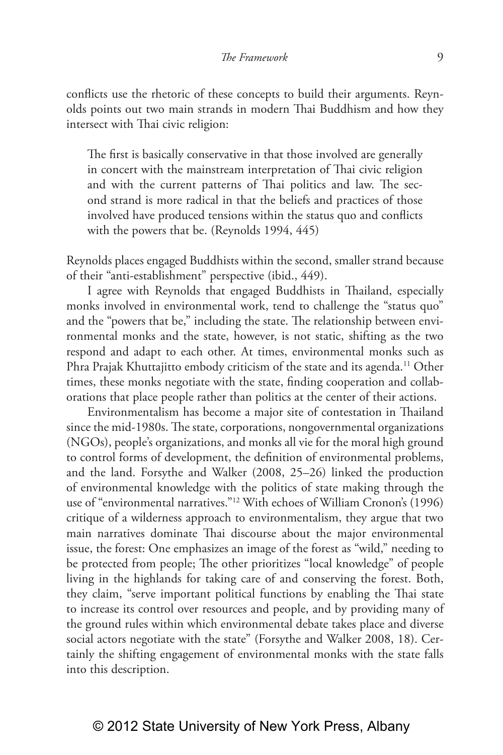conflicts use the rhetoric of these concepts to build their arguments. Reynolds points out two main strands in modern Thai Buddhism and how they intersect with Thai civic religion:

The first is basically conservative in that those involved are generally in concert with the mainstream interpretation of Thai civic religion and with the current patterns of Thai politics and law. The second strand is more radical in that the beliefs and practices of those involved have produced tensions within the status quo and conflicts with the powers that be. (Reynolds 1994, 445)

Reynolds places engaged Buddhists within the second, smaller strand because of their "anti-establishment" perspective (ibid., 449).

I agree with Reynolds that engaged Buddhists in Thailand, especially monks involved in environmental work, tend to challenge the "status quo" and the "powers that be," including the state. The relationship between environmental monks and the state, however, is not static, shifting as the two respond and adapt to each other. At times, environmental monks such as Phra Prajak Khuttajitto embody criticism of the state and its agenda.<sup>11</sup> Other times, these monks negotiate with the state, finding cooperation and collaborations that place people rather than politics at the center of their actions.

Environmentalism has become a major site of contestation in Thailand since the mid-1980s. The state, corporations, nongovernmental organizations (NGOs), people's organizations, and monks all vie for the moral high ground to control forms of development, the definition of environmental problems, and the land. Forsythe and Walker (2008, 25–26) linked the production of environmental knowledge with the politics of state making through the use of "environmental narratives."12 With echoes of William Cronon's (1996) critique of a wilderness approach to environmentalism, they argue that two main narratives dominate Thai discourse about the major environmental issue, the forest: One emphasizes an image of the forest as "wild," needing to be protected from people; The other prioritizes "local knowledge" of people living in the highlands for taking care of and conserving the forest. Both, they claim, "serve important political functions by enabling the Thai state to increase its control over resources and people, and by providing many of the ground rules within which environmental debate takes place and diverse social actors negotiate with the state" (Forsythe and Walker 2008, 18). Certainly the shifting engagement of environmental monks with the state falls into this description.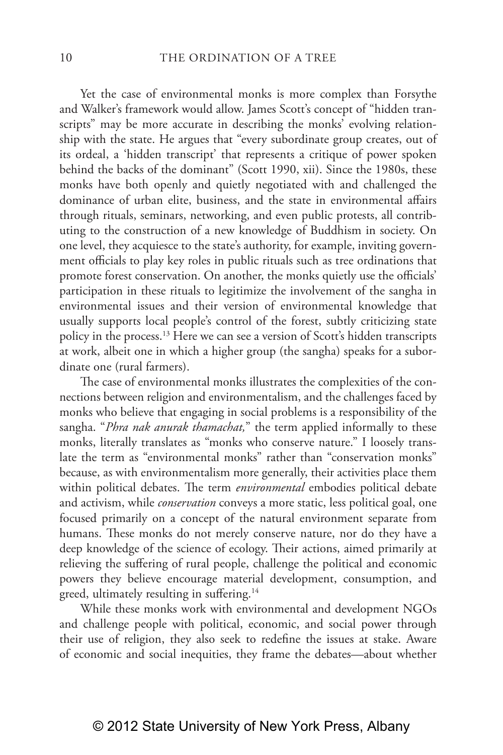Yet the case of environmental monks is more complex than Forsythe and Walker's framework would allow. James Scott's concept of "hidden transcripts" may be more accurate in describing the monks' evolving relationship with the state. He argues that "every subordinate group creates, out of its ordeal, a 'hidden transcript' that represents a critique of power spoken behind the backs of the dominant" (Scott 1990, xii). Since the 1980s, these monks have both openly and quietly negotiated with and challenged the dominance of urban elite, business, and the state in environmental affairs through rituals, seminars, networking, and even public protests, all contributing to the construction of a new knowledge of Buddhism in society. On one level, they acquiesce to the state's authority, for example, inviting government officials to play key roles in public rituals such as tree ordinations that promote forest conservation. On another, the monks quietly use the officials' participation in these rituals to legitimize the involvement of the sangha in environmental issues and their version of environmental knowledge that usually supports local people's control of the forest, subtly criticizing state policy in the process.13 Here we can see a version of Scott's hidden transcripts at work, albeit one in which a higher group (the sangha) speaks for a subordinate one (rural farmers).

The case of environmental monks illustrates the complexities of the connections between religion and environmentalism, and the challenges faced by monks who believe that engaging in social problems is a responsibility of the sangha. "*Phra nak anurak thamachat,*" the term applied informally to these monks, literally translates as "monks who conserve nature." I loosely translate the term as "environmental monks" rather than "conservation monks" because, as with environmentalism more generally, their activities place them within political debates. The term *environmental* embodies political debate and activism, while *conservation* conveys a more static, less political goal, one focused primarily on a concept of the natural environment separate from humans. These monks do not merely conserve nature, nor do they have a deep knowledge of the science of ecology. Their actions, aimed primarily at relieving the suffering of rural people, challenge the political and economic powers they believe encourage material development, consumption, and greed, ultimately resulting in suffering.14

While these monks work with environmental and development NGOs and challenge people with political, economic, and social power through their use of religion, they also seek to redefine the issues at stake. Aware of economic and social inequities, they frame the debates—about whether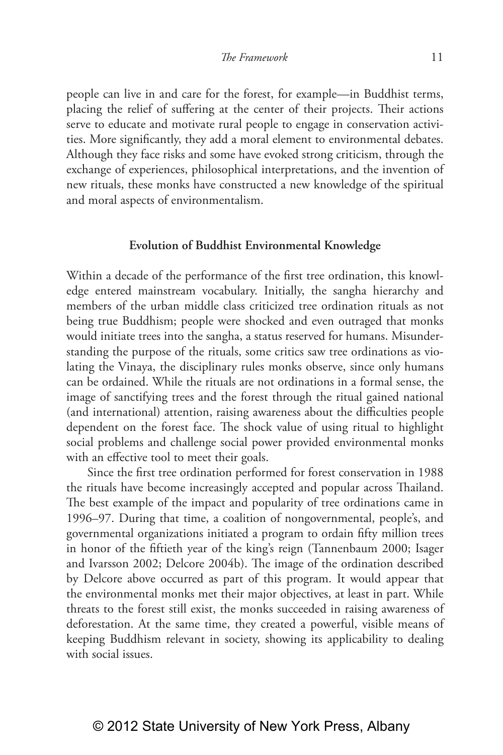people can live in and care for the forest, for example—in Buddhist terms, placing the relief of suffering at the center of their projects. Their actions serve to educate and motivate rural people to engage in conservation activities. More significantly, they add a moral element to environmental debates. Although they face risks and some have evoked strong criticism, through the exchange of experiences, philosophical interpretations, and the invention of new rituals, these monks have constructed a new knowledge of the spiritual and moral aspects of environmentalism.

## **Evolution of Buddhist Environmental Knowledge**

Within a decade of the performance of the first tree ordination, this knowledge entered mainstream vocabulary. Initially, the sangha hierarchy and members of the urban middle class criticized tree ordination rituals as not being true Buddhism; people were shocked and even outraged that monks would initiate trees into the sangha, a status reserved for humans. Misunderstanding the purpose of the rituals, some critics saw tree ordinations as violating the Vinaya, the disciplinary rules monks observe, since only humans can be ordained. While the rituals are not ordinations in a formal sense, the image of sanctifying trees and the forest through the ritual gained national (and international) attention, raising awareness about the difficulties people dependent on the forest face. The shock value of using ritual to highlight social problems and challenge social power provided environmental monks with an effective tool to meet their goals.

Since the first tree ordination performed for forest conservation in 1988 the rituals have become increasingly accepted and popular across Thailand. The best example of the impact and popularity of tree ordinations came in 1996–97. During that time, a coalition of nongovernmental, people's, and governmental organizations initiated a program to ordain fifty million trees in honor of the fiftieth year of the king's reign (Tannenbaum 2000; Isager and Ivarsson 2002; Delcore 2004b). The image of the ordination described by Delcore above occurred as part of this program. It would appear that the environmental monks met their major objectives, at least in part. While threats to the forest still exist, the monks succeeded in raising awareness of deforestation. At the same time, they created a powerful, visible means of keeping Buddhism relevant in society, showing its applicability to dealing with social issues.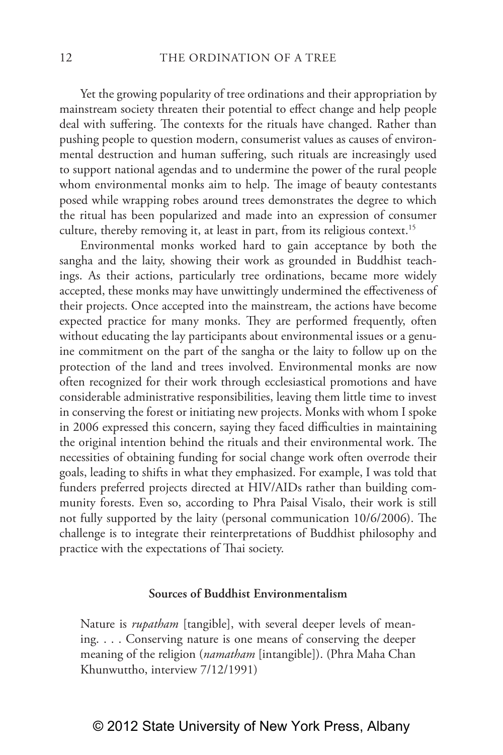Yet the growing popularity of tree ordinations and their appropriation by mainstream society threaten their potential to effect change and help people deal with suffering. The contexts for the rituals have changed. Rather than pushing people to question modern, consumerist values as causes of environmental destruction and human suffering, such rituals are increasingly used to support national agendas and to undermine the power of the rural people whom environmental monks aim to help. The image of beauty contestants posed while wrapping robes around trees demonstrates the degree to which the ritual has been popularized and made into an expression of consumer culture, thereby removing it, at least in part, from its religious context.<sup>15</sup>

Environmental monks worked hard to gain acceptance by both the sangha and the laity, showing their work as grounded in Buddhist teachings. As their actions, particularly tree ordinations, became more widely accepted, these monks may have unwittingly undermined the effectiveness of their projects. Once accepted into the mainstream, the actions have become expected practice for many monks. They are performed frequently, often without educating the lay participants about environmental issues or a genuine commitment on the part of the sangha or the laity to follow up on the protection of the land and trees involved. Environmental monks are now often recognized for their work through ecclesiastical promotions and have considerable administrative responsibilities, leaving them little time to invest in conserving the forest or initiating new projects. Monks with whom I spoke in 2006 expressed this concern, saying they faced difficulties in maintaining the original intention behind the rituals and their environmental work. The necessities of obtaining funding for social change work often overrode their goals, leading to shifts in what they emphasized. For example, I was told that funders preferred projects directed at HIV/AIDs rather than building community forests. Even so, according to Phra Paisal Visalo, their work is still not fully supported by the laity (personal communication 10/6/2006). The challenge is to integrate their reinterpretations of Buddhist philosophy and practice with the expectations of Thai society.

## **Sources of Buddhist Environmentalism**

Nature is *rupatham* [tangible], with several deeper levels of meaning. . . . Conserving nature is one means of conserving the deeper meaning of the religion (*namatham* [intangible]). (Phra Maha Chan Khunwuttho, interview 7/12/1991)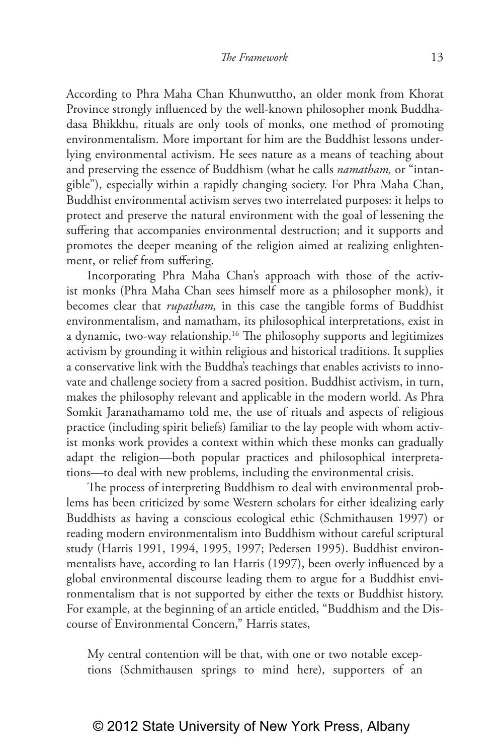According to Phra Maha Chan Khunwuttho, an older monk from Khorat Province strongly influenced by the well-known philosopher monk Buddhadasa Bhikkhu, rituals are only tools of monks, one method of promoting environmentalism. More important for him are the Buddhist lessons underlying environmental activism. He sees nature as a means of teaching about and preserving the essence of Buddhism (what he calls *namatham,* or "intangible"), especially within a rapidly changing society. For Phra Maha Chan, Buddhist environmental activism serves two interrelated purposes: it helps to protect and preserve the natural environment with the goal of lessening the suffering that accompanies environmental destruction; and it supports and promotes the deeper meaning of the religion aimed at realizing enlightenment, or relief from suffering.

Incorporating Phra Maha Chan's approach with those of the activist monks (Phra Maha Chan sees himself more as a philosopher monk), it becomes clear that *rupatham,* in this case the tangible forms of Buddhist environmentalism, and namatham, its philosophical interpretations, exist in a dynamic, two-way relationship.16 The philosophy supports and legitimizes activism by grounding it within religious and historical traditions. It supplies a conservative link with the Buddha's teachings that enables activists to innovate and challenge society from a sacred position. Buddhist activism, in turn, makes the philosophy relevant and applicable in the modern world. As Phra Somkit Jaranathamamo told me, the use of rituals and aspects of religious practice (including spirit beliefs) familiar to the lay people with whom activist monks work provides a context within which these monks can gradually adapt the religion—both popular practices and philosophical interpretations—to deal with new problems, including the environmental crisis.

The process of interpreting Buddhism to deal with environmental problems has been criticized by some Western scholars for either idealizing early Buddhists as having a conscious ecological ethic (Schmithausen 1997) or reading modern environmentalism into Buddhism without careful scriptural study (Harris 1991, 1994, 1995, 1997; Pedersen 1995). Buddhist environmentalists have, according to Ian Harris (1997), been overly influenced by a global environmental discourse leading them to argue for a Buddhist environmentalism that is not supported by either the texts or Buddhist history. For example, at the beginning of an article entitled, "Buddhism and the Discourse of Environmental Concern," Harris states,

My central contention will be that, with one or two notable exceptions (Schmithausen springs to mind here), supporters of an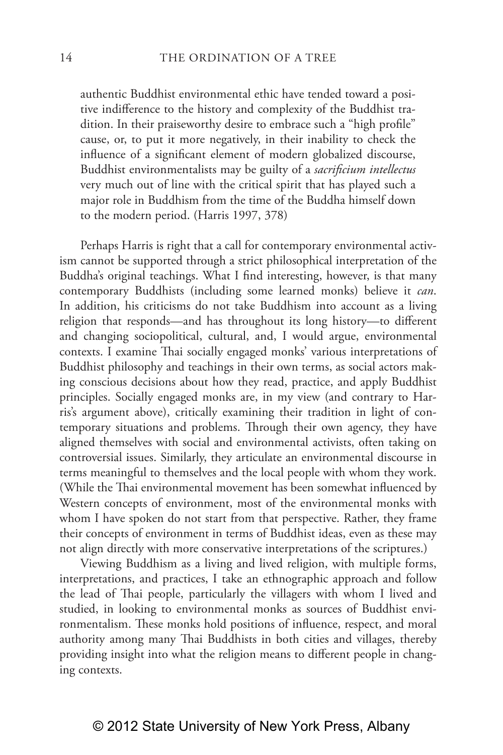authentic Buddhist environmental ethic have tended toward a positive indifference to the history and complexity of the Buddhist tradition. In their praiseworthy desire to embrace such a "high profile" cause, or, to put it more negatively, in their inability to check the influence of a significant element of modern globalized discourse, Buddhist environmentalists may be guilty of a *sacrificium intellectus* very much out of line with the critical spirit that has played such a major role in Buddhism from the time of the Buddha himself down to the modern period. (Harris 1997, 378)

Perhaps Harris is right that a call for contemporary environmental activism cannot be supported through a strict philosophical interpretation of the Buddha's original teachings. What I find interesting, however, is that many contemporary Buddhists (including some learned monks) believe it *can*. In addition, his criticisms do not take Buddhism into account as a living religion that responds—and has throughout its long history—to different and changing sociopolitical, cultural, and, I would argue, environmental contexts. I examine Thai socially engaged monks' various interpretations of Buddhist philosophy and teachings in their own terms, as social actors making conscious decisions about how they read, practice, and apply Buddhist principles. Socially engaged monks are, in my view (and contrary to Harris's argument above), critically examining their tradition in light of contemporary situations and problems. Through their own agency, they have aligned themselves with social and environmental activists, often taking on controversial issues. Similarly, they articulate an environmental discourse in terms meaningful to themselves and the local people with whom they work. (While the Thai environmental movement has been somewhat influenced by Western concepts of environment, most of the environmental monks with whom I have spoken do not start from that perspective. Rather, they frame their concepts of environment in terms of Buddhist ideas, even as these may not align directly with more conservative interpretations of the scriptures.)

Viewing Buddhism as a living and lived religion, with multiple forms, interpretations, and practices, I take an ethnographic approach and follow the lead of Thai people, particularly the villagers with whom I lived and studied, in looking to environmental monks as sources of Buddhist environmentalism. These monks hold positions of influence, respect, and moral authority among many Thai Buddhists in both cities and villages, thereby providing insight into what the religion means to different people in changing contexts.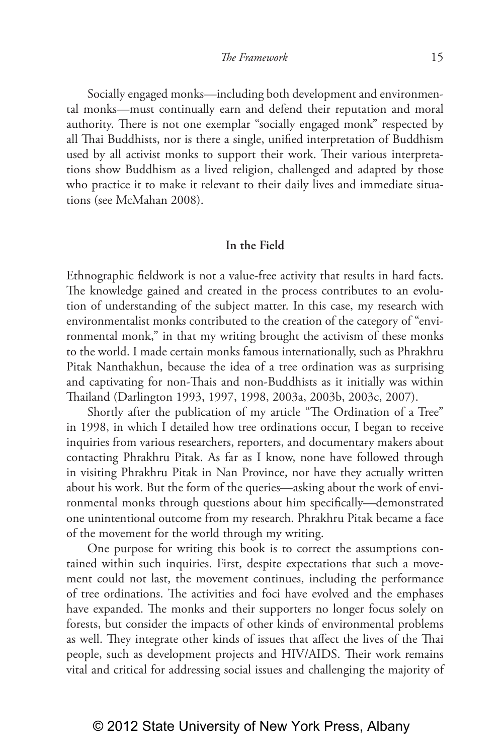Socially engaged monks—including both development and environmental monks—must continually earn and defend their reputation and moral authority. There is not one exemplar "socially engaged monk" respected by all Thai Buddhists, nor is there a single, unified interpretation of Buddhism used by all activist monks to support their work. Their various interpretations show Buddhism as a lived religion, challenged and adapted by those who practice it to make it relevant to their daily lives and immediate situations (see McMahan 2008).

#### **In the Field**

Ethnographic fieldwork is not a value-free activity that results in hard facts. The knowledge gained and created in the process contributes to an evolution of understanding of the subject matter. In this case, my research with environmentalist monks contributed to the creation of the category of "environmental monk," in that my writing brought the activism of these monks to the world. I made certain monks famous internationally, such as Phrakhru Pitak Nanthakhun, because the idea of a tree ordination was as surprising and captivating for non-Thais and non-Buddhists as it initially was within Thailand (Darlington 1993, 1997, 1998, 2003a, 2003b, 2003c, 2007).

Shortly after the publication of my article "The Ordination of a Tree" in 1998, in which I detailed how tree ordinations occur, I began to receive inquiries from various researchers, reporters, and documentary makers about contacting Phrakhru Pitak. As far as I know, none have followed through in visiting Phrakhru Pitak in Nan Province, nor have they actually written about his work. But the form of the queries—asking about the work of environmental monks through questions about him specifically—demonstrated one unintentional outcome from my research. Phrakhru Pitak became a face of the movement for the world through my writing.

One purpose for writing this book is to correct the assumptions contained within such inquiries. First, despite expectations that such a movement could not last, the movement continues, including the performance of tree ordinations. The activities and foci have evolved and the emphases have expanded. The monks and their supporters no longer focus solely on forests, but consider the impacts of other kinds of environmental problems as well. They integrate other kinds of issues that affect the lives of the Thai people, such as development projects and HIV/AIDS. Their work remains vital and critical for addressing social issues and challenging the majority of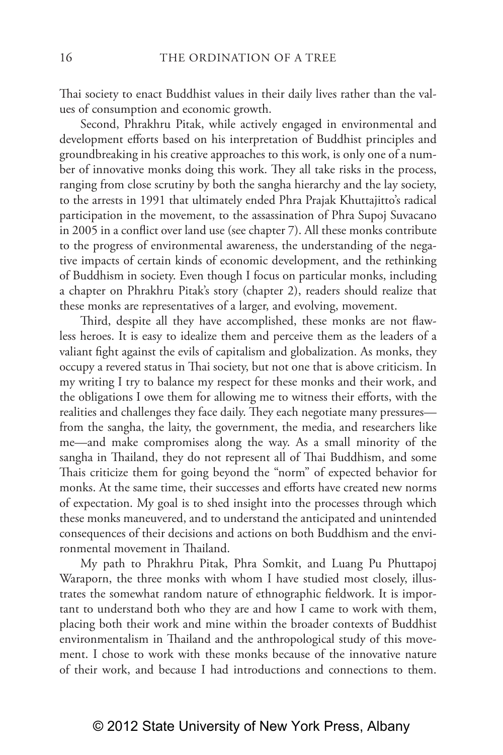Thai society to enact Buddhist values in their daily lives rather than the values of consumption and economic growth.

Second, Phrakhru Pitak, while actively engaged in environmental and development efforts based on his interpretation of Buddhist principles and groundbreaking in his creative approaches to this work, is only one of a number of innovative monks doing this work. They all take risks in the process, ranging from close scrutiny by both the sangha hierarchy and the lay society, to the arrests in 1991 that ultimately ended Phra Prajak Khuttajitto's radical participation in the movement, to the assassination of Phra Supoj Suvacano in 2005 in a conflict over land use (see chapter 7). All these monks contribute to the progress of environmental awareness, the understanding of the negative impacts of certain kinds of economic development, and the rethinking of Buddhism in society. Even though I focus on particular monks, including a chapter on Phrakhru Pitak's story (chapter 2), readers should realize that these monks are representatives of a larger, and evolving, movement.

Third, despite all they have accomplished, these monks are not flawless heroes. It is easy to idealize them and perceive them as the leaders of a valiant fight against the evils of capitalism and globalization. As monks, they occupy a revered status in Thai society, but not one that is above criticism. In my writing I try to balance my respect for these monks and their work, and the obligations I owe them for allowing me to witness their efforts, with the realities and challenges they face daily. They each negotiate many pressures from the sangha, the laity, the government, the media, and researchers like me—and make compromises along the way. As a small minority of the sangha in Thailand, they do not represent all of Thai Buddhism, and some Thais criticize them for going beyond the "norm" of expected behavior for monks. At the same time, their successes and efforts have created new norms of expectation. My goal is to shed insight into the processes through which these monks maneuvered, and to understand the anticipated and unintended consequences of their decisions and actions on both Buddhism and the environmental movement in Thailand.

My path to Phrakhru Pitak, Phra Somkit, and Luang Pu Phuttapoj Waraporn, the three monks with whom I have studied most closely, illustrates the somewhat random nature of ethnographic fieldwork. It is important to understand both who they are and how I came to work with them, placing both their work and mine within the broader contexts of Buddhist environmentalism in Thailand and the anthropological study of this movement. I chose to work with these monks because of the innovative nature of their work, and because I had introductions and connections to them.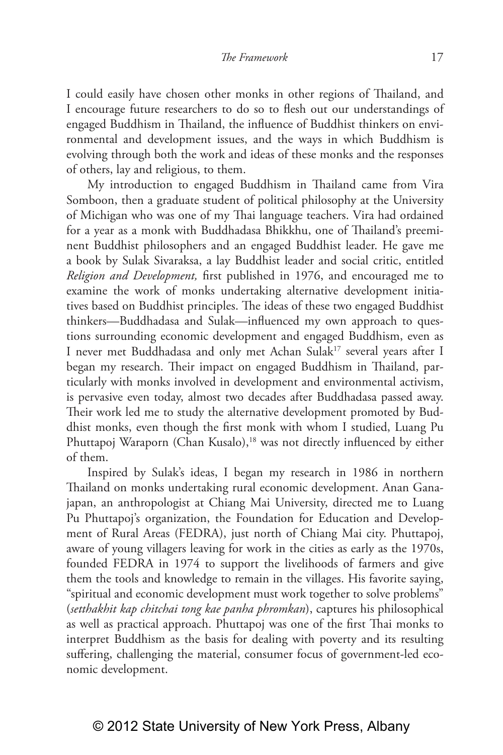I could easily have chosen other monks in other regions of Thailand, and I encourage future researchers to do so to flesh out our understandings of engaged Buddhism in Thailand, the influence of Buddhist thinkers on environmental and development issues, and the ways in which Buddhism is evolving through both the work and ideas of these monks and the responses of others, lay and religious, to them.

My introduction to engaged Buddhism in Thailand came from Vira Somboon, then a graduate student of political philosophy at the University of Michigan who was one of my Thai language teachers. Vira had ordained for a year as a monk with Buddhadasa Bhikkhu, one of Thailand's preeminent Buddhist philosophers and an engaged Buddhist leader. He gave me a book by Sulak Sivaraksa, a lay Buddhist leader and social critic, entitled *Religion and Development,* first published in 1976, and encouraged me to examine the work of monks undertaking alternative development initiatives based on Buddhist principles. The ideas of these two engaged Buddhist thinkers—Buddhadasa and Sulak—influenced my own approach to questions surrounding economic development and engaged Buddhism, even as I never met Buddhadasa and only met Achan Sulak<sup>17</sup> several years after I began my research. Their impact on engaged Buddhism in Thailand, particularly with monks involved in development and environmental activism, is pervasive even today, almost two decades after Buddhadasa passed away. Their work led me to study the alternative development promoted by Buddhist monks, even though the first monk with whom I studied, Luang Pu Phuttapoj Waraporn (Chan Kusalo),<sup>18</sup> was not directly influenced by either of them.

Inspired by Sulak's ideas, I began my research in 1986 in northern Thailand on monks undertaking rural economic development. Anan Ganajapan, an anthropologist at Chiang Mai University, directed me to Luang Pu Phuttapoj's organization, the Foundation for Education and Development of Rural Areas (FEDRA), just north of Chiang Mai city. Phuttapoj, aware of young villagers leaving for work in the cities as early as the 1970s, founded FEDRA in 1974 to support the livelihoods of farmers and give them the tools and knowledge to remain in the villages. His favorite saying, "spiritual and economic development must work together to solve problems" (*setthakhit kap chitchai tong kae panha phromkan*), captures his philosophical as well as practical approach. Phuttapoj was one of the first Thai monks to interpret Buddhism as the basis for dealing with poverty and its resulting suffering, challenging the material, consumer focus of government-led economic development.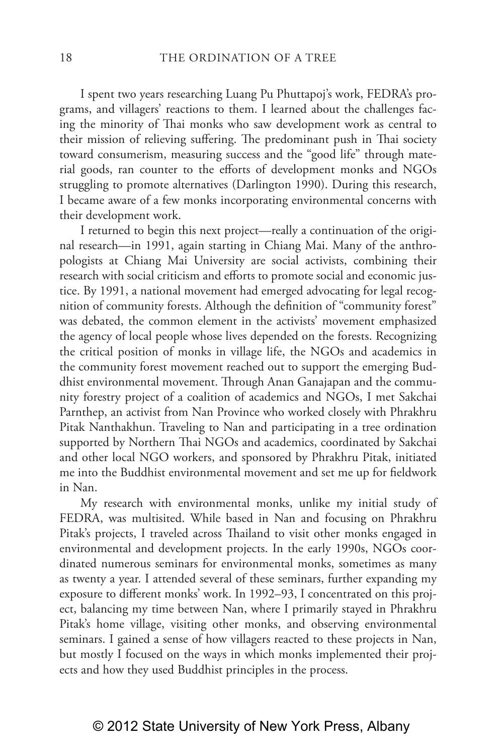I spent two years researching Luang Pu Phuttapoj's work, FEDRA's programs, and villagers' reactions to them. I learned about the challenges facing the minority of Thai monks who saw development work as central to their mission of relieving suffering. The predominant push in Thai society toward consumerism, measuring success and the "good life" through material goods, ran counter to the efforts of development monks and NGOs struggling to promote alternatives (Darlington 1990). During this research, I became aware of a few monks incorporating environmental concerns with their development work.

I returned to begin this next project—really a continuation of the original research—in 1991, again starting in Chiang Mai. Many of the anthropologists at Chiang Mai University are social activists, combining their research with social criticism and efforts to promote social and economic justice. By 1991, a national movement had emerged advocating for legal recognition of community forests. Although the definition of "community forest" was debated, the common element in the activists' movement emphasized the agency of local people whose lives depended on the forests. Recognizing the critical position of monks in village life, the NGOs and academics in the community forest movement reached out to support the emerging Buddhist environmental movement. Through Anan Ganajapan and the community forestry project of a coalition of academics and NGOs, I met Sakchai Parnthep, an activist from Nan Province who worked closely with Phrakhru Pitak Nanthakhun. Traveling to Nan and participating in a tree ordination supported by Northern Thai NGOs and academics, coordinated by Sakchai and other local NGO workers, and sponsored by Phrakhru Pitak, initiated me into the Buddhist environmental movement and set me up for fieldwork in Nan.

My research with environmental monks, unlike my initial study of FEDRA, was multisited. While based in Nan and focusing on Phrakhru Pitak's projects, I traveled across Thailand to visit other monks engaged in environmental and development projects. In the early 1990s, NGOs coordinated numerous seminars for environmental monks, sometimes as many as twenty a year. I attended several of these seminars, further expanding my exposure to different monks' work. In 1992–93, I concentrated on this project, balancing my time between Nan, where I primarily stayed in Phrakhru Pitak's home village, visiting other monks, and observing environmental seminars. I gained a sense of how villagers reacted to these projects in Nan, but mostly I focused on the ways in which monks implemented their projects and how they used Buddhist principles in the process.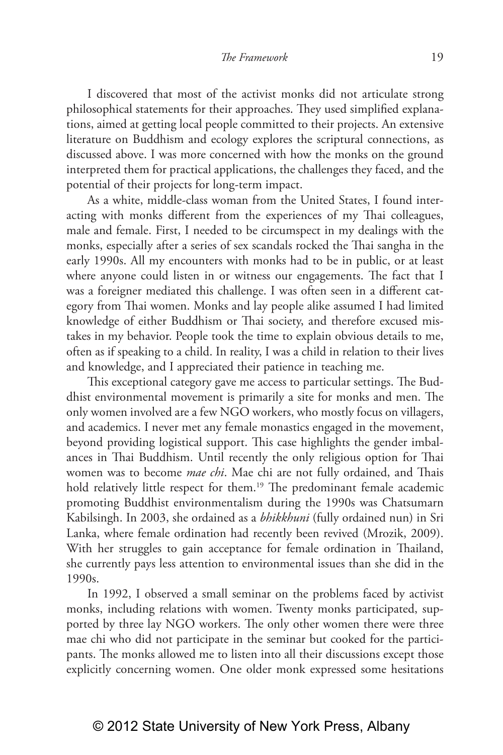I discovered that most of the activist monks did not articulate strong philosophical statements for their approaches. They used simplified explanations, aimed at getting local people committed to their projects. An extensive literature on Buddhism and ecology explores the scriptural connections, as discussed above. I was more concerned with how the monks on the ground interpreted them for practical applications, the challenges they faced, and the potential of their projects for long-term impact.

As a white, middle-class woman from the United States, I found interacting with monks different from the experiences of my Thai colleagues, male and female. First, I needed to be circumspect in my dealings with the monks, especially after a series of sex scandals rocked the Thai sangha in the early 1990s. All my encounters with monks had to be in public, or at least where anyone could listen in or witness our engagements. The fact that I was a foreigner mediated this challenge. I was often seen in a different category from Thai women. Monks and lay people alike assumed I had limited knowledge of either Buddhism or Thai society, and therefore excused mistakes in my behavior. People took the time to explain obvious details to me, often as if speaking to a child. In reality, I was a child in relation to their lives and knowledge, and I appreciated their patience in teaching me.

This exceptional category gave me access to particular settings. The Buddhist environmental movement is primarily a site for monks and men. The only women involved are a few NGO workers, who mostly focus on villagers, and academics. I never met any female monastics engaged in the movement, beyond providing logistical support. This case highlights the gender imbalances in Thai Buddhism. Until recently the only religious option for Thai women was to become *mae chi*. Mae chi are not fully ordained, and Thais hold relatively little respect for them.<sup>19</sup> The predominant female academic promoting Buddhist environmentalism during the 1990s was Chatsumarn Kabilsingh. In 2003, she ordained as a *bhikkhuni* (fully ordained nun) in Sri Lanka, where female ordination had recently been revived (Mrozik, 2009). With her struggles to gain acceptance for female ordination in Thailand, she currently pays less attention to environmental issues than she did in the 1990s.

In 1992, I observed a small seminar on the problems faced by activist monks, including relations with women. Twenty monks participated, supported by three lay NGO workers. The only other women there were three mae chi who did not participate in the seminar but cooked for the participants. The monks allowed me to listen into all their discussions except those explicitly concerning women. One older monk expressed some hesitations